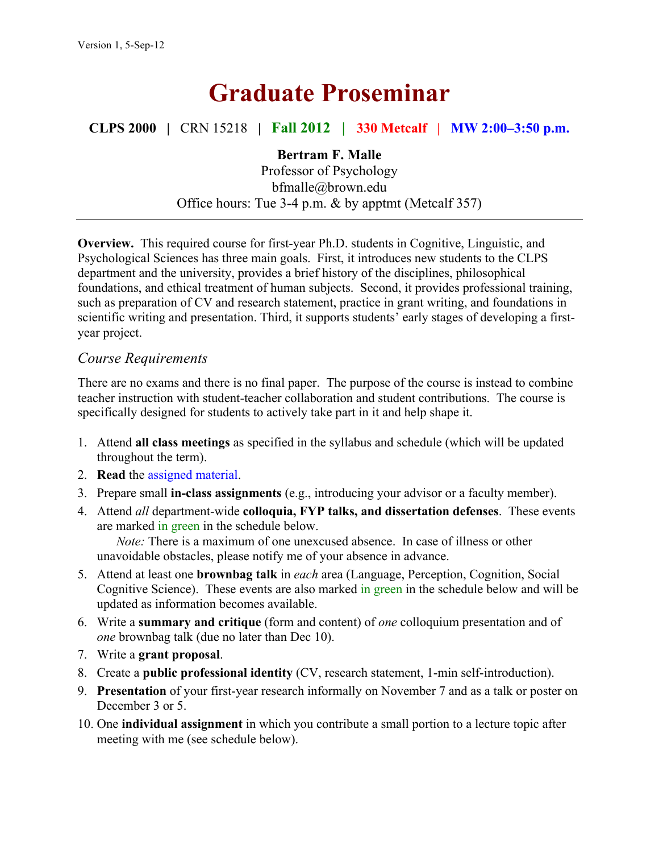# **Graduate Proseminar**

**CLPS 2000 |** CRN 15218 **| Fall 2012 | 330 Metcalf | MW 2:00–3:50 p.m.**

### **Bertram F. Malle**

Professor of Psychology bfmalle@brown.edu Office hours: Tue 3-4 p.m. & by apptmt (Metcalf 357)

**Overview.** This required course for first-year Ph.D. students in Cognitive, Linguistic, and Psychological Sciences has three main goals. First, it introduces new students to the CLPS department and the university, provides a brief history of the disciplines, philosophical foundations, and ethical treatment of human subjects. Second, it provides professional training, such as preparation of CV and research statement, practice in grant writing, and foundations in scientific writing and presentation. Third, it supports students' early stages of developing a firstyear project.

### *Course Requirements*

There are no exams and there is no final paper. The purpose of the course is instead to combine teacher instruction with student-teacher collaboration and student contributions. The course is specifically designed for students to actively take part in it and help shape it.

- 1. Attend **all class meetings** as specified in the syllabus and schedule (which will be updated throughout the term).
- 2. **Read** the assigned material.
- 3. Prepare small **in-class assignments** (e.g., introducing your advisor or a faculty member).
- 4. Attend *all* department-wide **colloquia, FYP talks, and dissertation defenses**. These events are marked in green in the schedule below.

*Note:* There is a maximum of one unexcused absence. In case of illness or other unavoidable obstacles, please notify me of your absence in advance.

- 5. Attend at least one **brownbag talk** in *each* area (Language, Perception, Cognition, Social Cognitive Science). These events are also marked in green in the schedule below and will be updated as information becomes available.
- 6. Write a **summary and critique** (form and content) of *one* colloquium presentation and of *one* brownbag talk (due no later than Dec 10).
- 7. Write a **grant proposal**.
- 8. Create a **public professional identity** (CV, research statement, 1-min self-introduction).
- 9. **Presentation** of your first-year research informally on November 7 and as a talk or poster on December 3 or 5.
- 10. One **individual assignment** in which you contribute a small portion to a lecture topic after meeting with me (see schedule below).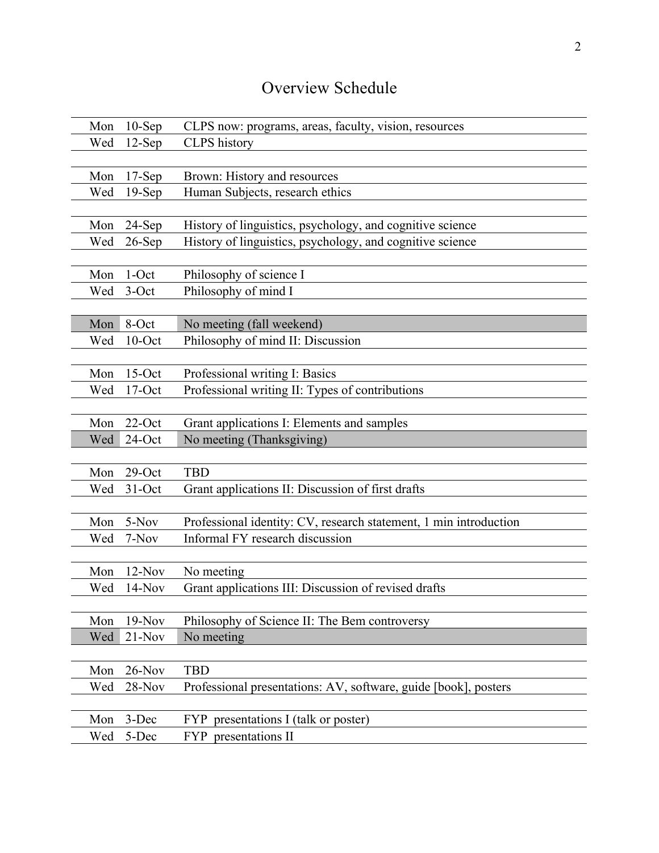## Overview Schedule

| Mon | $10-Sep$  | CLPS now: programs, areas, faculty, vision, resources             |
|-----|-----------|-------------------------------------------------------------------|
| Wed | $12-Sep$  | <b>CLPS</b> history                                               |
|     |           |                                                                   |
| Mon | $17-Sep$  | Brown: History and resources                                      |
| Wed | $19-Sep$  | Human Subjects, research ethics                                   |
|     |           |                                                                   |
| Mon | $24-Sep$  | History of linguistics, psychology, and cognitive science         |
| Wed | $26$ -Sep | History of linguistics, psychology, and cognitive science         |
|     |           |                                                                   |
| Mon | $1$ -Oct  | Philosophy of science I                                           |
| Wed | $3-Oct$   | Philosophy of mind I                                              |
|     |           |                                                                   |
| Mon | 8-Oct     | No meeting (fall weekend)                                         |
| Wed | $10$ -Oct | Philosophy of mind II: Discussion                                 |
|     |           |                                                                   |
| Mon | $15$ -Oct | Professional writing I: Basics                                    |
| Wed | $17$ -Oct | Professional writing II: Types of contributions                   |
|     |           |                                                                   |
| Mon | $22$ -Oct | Grant applications I: Elements and samples                        |
|     |           |                                                                   |
| Wed | 24-Oct    | No meeting (Thanksgiving)                                         |
|     |           |                                                                   |
| Mon | $29$ -Oct | <b>TBD</b>                                                        |
| Wed | $31-Oct$  | Grant applications II: Discussion of first drafts                 |
|     |           |                                                                   |
| Mon | 5-Nov     | Professional identity: CV, research statement, 1 min introduction |
| Wed | 7-Nov     | Informal FY research discussion                                   |
|     |           |                                                                   |
| Mon | $12-Nov$  | No meeting                                                        |
| Wed | $14-Nov$  | Grant applications III: Discussion of revised drafts              |
|     |           |                                                                   |
| Mon | $19-Nov$  | Philosophy of Science II: The Bem controversy                     |
| Wed | $21-Nov$  | No meeting                                                        |
|     |           |                                                                   |
| Mon | $26-Nov$  | <b>TBD</b>                                                        |
| Wed | 28-Nov    | Professional presentations: AV, software, guide [book], posters   |
|     |           |                                                                   |
| Mon | 3-Dec     | presentations I (talk or poster)<br><b>FYP</b>                    |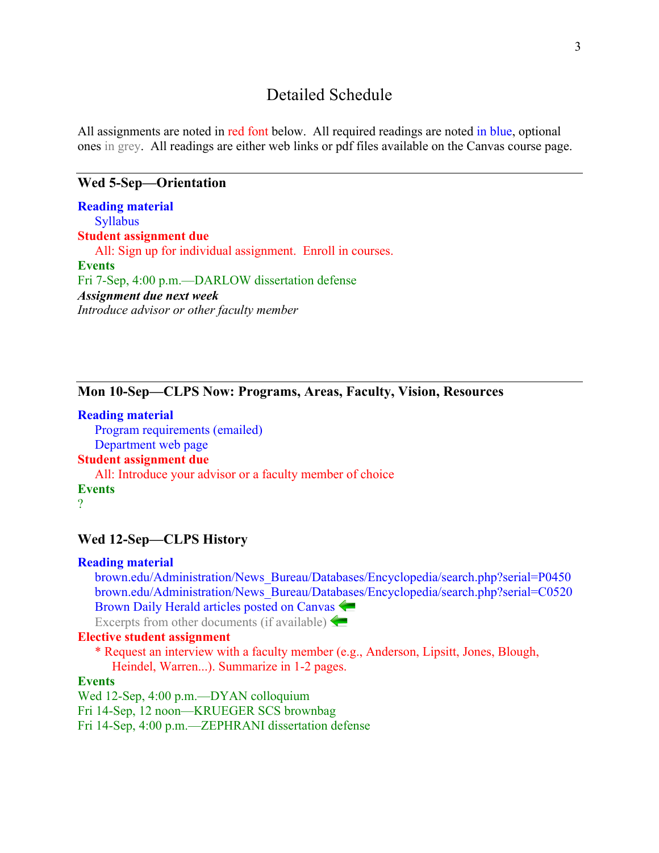### Detailed Schedule

All assignments are noted in red font below. All required readings are noted in blue, optional ones in grey. All readings are either web links or pdf files available on the Canvas course page.

#### **Wed 5-Sep—Orientation**

**Reading material Syllabus Student assignment due**  All: Sign up for individual assignment. Enroll in courses. **Events** Fri 7-Sep, 4:00 p.m.—DARLOW dissertation defense *Assignment due next week Introduce advisor or other faculty member*

### **Mon 10-Sep—CLPS Now: Programs, Areas, Faculty, Vision, Resources**

**Reading material** Program requirements (emailed) Department web page **Student assignment due** All: Introduce your advisor or a faculty member of choice **Events** ?

#### **Wed 12-Sep—CLPS History**

#### **Reading material**

brown.edu/Administration/News\_Bureau/Databases/Encyclopedia/search.php?serial=P0450 brown.edu/Administration/News\_Bureau/Databases/Encyclopedia/search.php?serial=C0520 Brown Daily Herald articles posted on Canvas Excerpts from other documents (if available)  $\leftarrow$ 

#### **Elective student assignment**

\* Request an interview with a faculty member (e.g., Anderson, Lipsitt, Jones, Blough, Heindel, Warren...). Summarize in 1-2 pages.

#### **Events**

Wed 12-Sep, 4:00 p.m.—DYAN colloquium Fri 14-Sep, 12 noon—KRUEGER SCS brownbag Fri 14-Sep, 4:00 p.m.—ZEPHRANI dissertation defense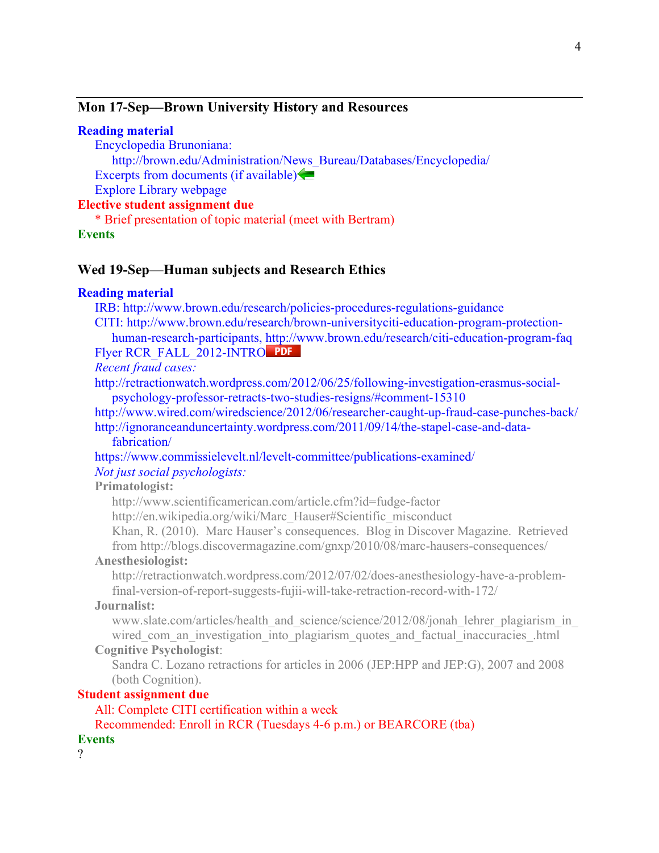#### **Mon 17-Sep—Brown University History and Resources**

#### **Reading material**

Encyclopedia Brunoniana:

http://brown.edu/Administration/News\_Bureau/Databases/Encyclopedia/ Excerpts from documents (if available)

Explore Library webpage

#### **Elective student assignment due**

\* Brief presentation of topic material (meet with Bertram)

#### **Events**

#### **Wed 19-Sep—Human subjects and Research Ethics**

#### **Reading material**

IRB: http://www.brown.edu/research/policies-procedures-regulations-guidance

CITI: http://www.brown.edu/research/brown-universityciti-education-program-protectionhuman-research-participants, http://www.brown.edu/research/citi-education-program-faq Flyer RCR\_FALL\_2012-INTRO PDF

*Recent fraud cases:*

http://retractionwatch.wordpress.com/2012/06/25/following-investigation-erasmus-socialpsychology-professor-retracts-two-studies-resigns/#comment-15310

http://www.wired.com/wiredscience/2012/06/researcher-caught-up-fraud-case-punches-back/

http://ignoranceanduncertainty.wordpress.com/2011/09/14/the-stapel-case-and-datafabrication/

https://www.commissielevelt.nl/levelt-committee/publications-examined/ *Not just social psychologists:*

#### **Primatologist:**

http://www.scientificamerican.com/article.cfm?id=fudge-factor

http://en.wikipedia.org/wiki/Marc\_Hauser#Scientific\_misconduct

Khan, R. (2010). Marc Hauser's consequences. Blog in Discover Magazine. Retrieved from http://blogs.discovermagazine.com/gnxp/2010/08/marc-hausers-consequences/

#### **Anesthesiologist:**

http://retractionwatch.wordpress.com/2012/07/02/does-anesthesiology-have-a-problemfinal-version-of-report-suggests-fujii-will-take-retraction-record-with-172/

#### **Journalist:**

www.slate.com/articles/health\_and\_science/science/2012/08/jonah\_lehrer\_plagiarism\_in wired com an investigation into plagiarism quotes and factual inaccuracies .html

#### **Cognitive Psychologist**:

Sandra C. Lozano retractions for articles in 2006 (JEP:HPP and JEP:G), 2007 and 2008 (both Cognition).

#### **Student assignment due**

#### All: Complete CITI certification within a week

Recommended: Enroll in RCR (Tuesdays 4-6 p.m.) or BEARCORE (tba)

#### **Events**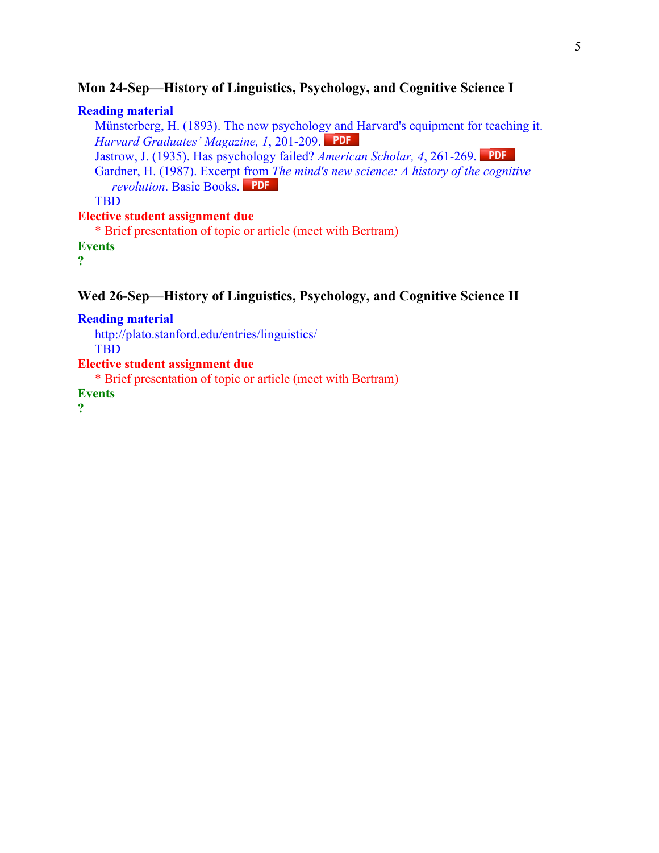### **Mon 24-Sep—History of Linguistics, Psychology, and Cognitive Science I**

#### **Reading material**

Münsterberg, H. (1893). The new psychology and Harvard's equipment for teaching it. *Harvard Graduates' Magazine, 1*, 201-209.

Jastrow, J. (1935). Has psychology failed? *American Scholar, 4*, 261-269.

Gardner, H. (1987). Excerpt from *The mind's new science: A history of the cognitive revolution*. Basic Books.

TBD

#### **Elective student assignment due**

\* Brief presentation of topic or article (meet with Bertram)

**Events**

**?**

### **Wed 26-Sep—History of Linguistics, Psychology, and Cognitive Science II**

**Reading material**

http://plato.stanford.edu/entries/linguistics/ TBD

**Elective student assignment due**

\* Brief presentation of topic or article (meet with Bertram)

**Events**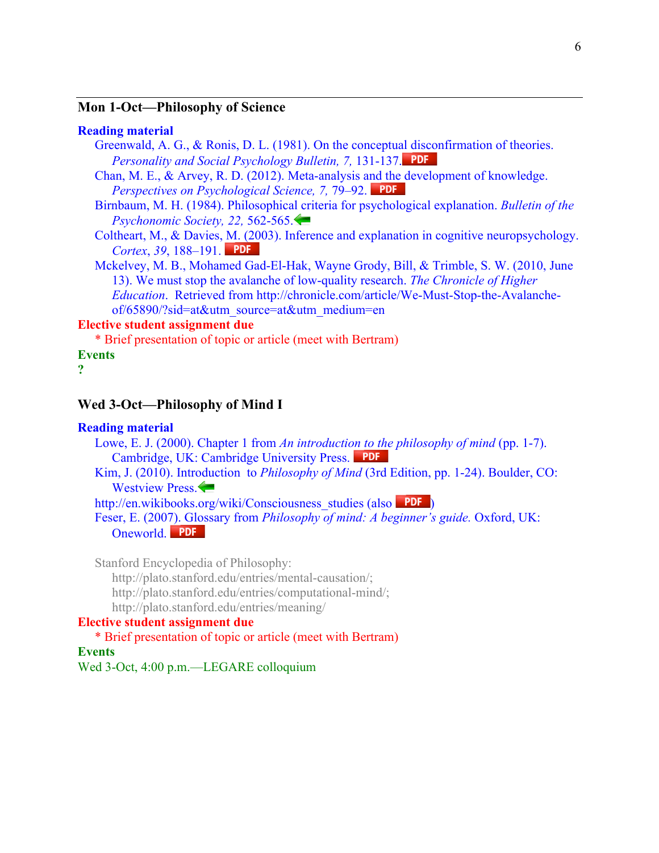#### **Mon 1-Oct—Philosophy of Science**

#### **Reading material**

- Greenwald, A. G., & Ronis, D. L. (1981). On the conceptual disconfirmation of theories. *Personality and Social Psychology Bulletin, 7,* 131-137.
- Chan, M. E., & Arvey, R. D. (2012). Meta-analysis and the development of knowledge. *Perspectives on Psychological Science, 7, 79–92.* PDF
- Birnbaum, M. H. (1984). Philosophical criteria for psychological explanation. *Bulletin of the Psychonomic Society, 22,* 562-565.
- Coltheart, M., & Davies, M. (2003). Inference and explanation in cognitive neuropsychology. *Cortex*, *39*, 188–191.
- Mckelvey, M. B., Mohamed Gad-El-Hak, Wayne Grody, Bill, & Trimble, S. W. (2010, June 13). We must stop the avalanche of low-quality research. *The Chronicle of Higher Education*. Retrieved from http://chronicle.com/article/We-Must-Stop-the-Avalancheof/65890/?sid=at&utm\_source=at&utm\_medium=en

#### **Elective student assignment due**

\* Brief presentation of topic or article (meet with Bertram)

#### **Events**

**?**

### **Wed 3-Oct—Philosophy of Mind I**

#### **Reading material**

- Lowe, E. J. (2000). Chapter 1 from *An introduction to the philosophy of mind* (pp. 1-7). Cambridge, UK: Cambridge University Press.
- Kim, J. (2010). Introduction to *Philosophy of Mind* (3rd Edition, pp. 1-24). Boulder, CO: Westview Press.

http://en.wikibooks.org/wiki/Consciousness\_studies (also PDF)

Feser, E. (2007). Glossary from *Philosophy of mind: A beginner's guide.* Oxford, UK: Oneworld. PDF

Stanford Encyclopedia of Philosophy:

http://plato.stanford.edu/entries/mental-causation/;

http://plato.stanford.edu/entries/computational-mind/;

http://plato.stanford.edu/entries/meaning/

#### **Elective student assignment due**

#### \* Brief presentation of topic or article (meet with Bertram)

#### **Events**

Wed 3-Oct, 4:00 p.m.—LEGARE colloquium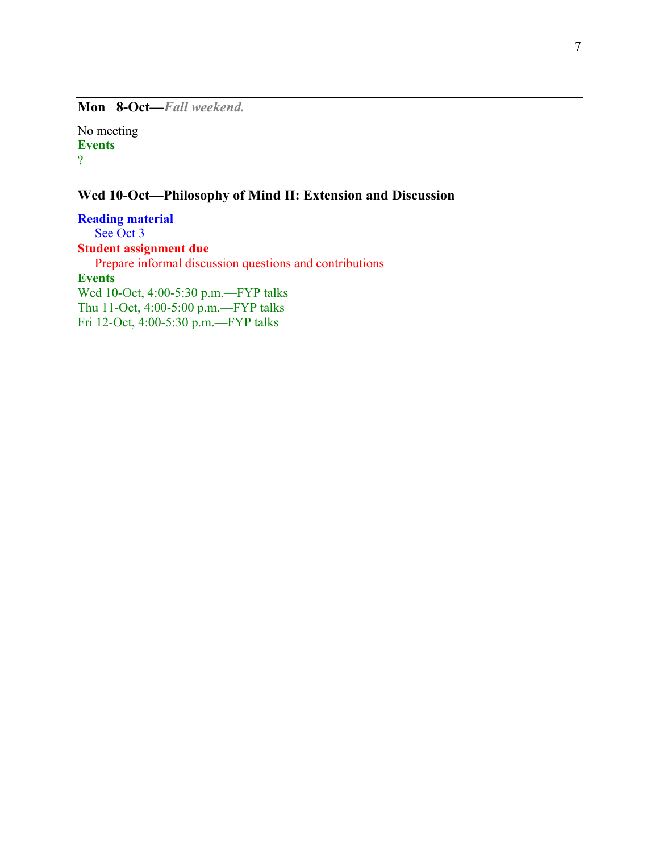**Mon 8-Oct—***Fall weekend.*

No meeting **Events** ?

### **Wed 10-Oct—Philosophy of Mind II: Extension and Discussion**

**Reading material** See Oct 3 **Student assignment due** Prepare informal discussion questions and contributions **Events** Wed 10-Oct, 4:00-5:30 p.m.—FYP talks Thu 11-Oct, 4:00-5:00 p.m.—FYP talks Fri 12-Oct, 4:00-5:30 p.m.—FYP talks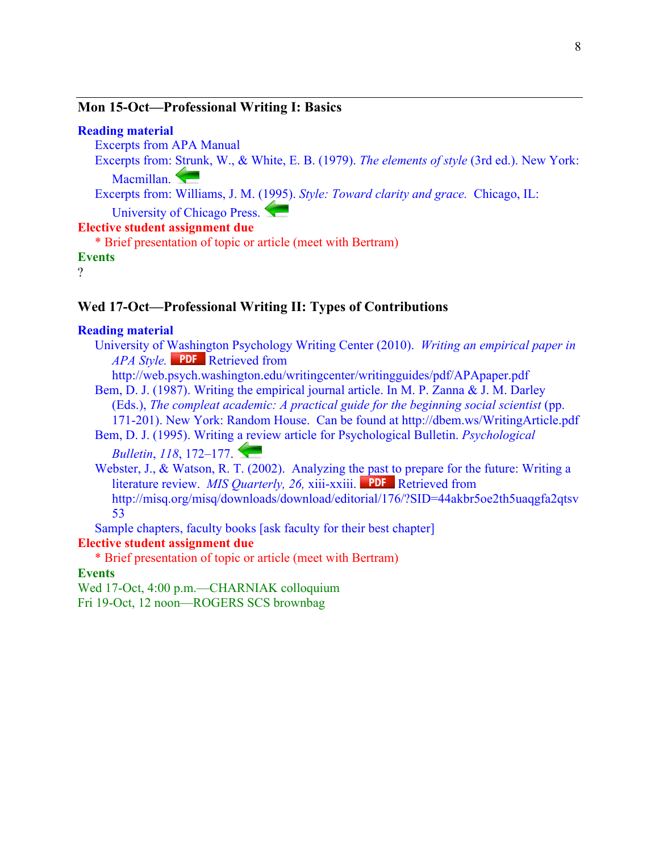#### **Mon 15-Oct—Professional Writing I: Basics**

#### **Reading material**

Excerpts from APA Manual

Excerpts from: Strunk, W., & White, E. B. (1979). *The elements of style* (3rd ed.). New York: Macmillan.

Excerpts from: Williams, J. M. (1995). *Style: Toward clarity and grace.* Chicago, IL:

University of Chicago Press.

### **Elective student assignment due**

\* Brief presentation of topic or article (meet with Bertram)

**Events**

?

#### **Wed 17-Oct—Professional Writing II: Types of Contributions**

#### **Reading material**

University of Washington Psychology Writing Center (2010). *Writing an empirical paper in APA Style.* PDF Retrieved from

http://web.psych.washington.edu/writingcenter/writingguides/pdf/APApaper.pdf

Bem, D. J. (1987). Writing the empirical journal article. In M. P. Zanna & J. M. Darley (Eds.), *The compleat academic: A practical guide for the beginning social scientist* (pp. 171-201). New York: Random House. Can be found at http://dbem.ws/WritingArticle.pdf

Bem, D. J. (1995). Writing a review article for Psychological Bulletin. *Psychological* 

*Bulletin*, *118*, 172–177.

Webster, J., & Watson, R. T. (2002). Analyzing the past to prepare for the future: Writing a literature review. *MIS Quarterly, 26, xiii-xxiii.* PDF Retrieved from http://misq.org/misq/downloads/download/editorial/176/?SID=44akbr5oe2th5uaqgfa2qtsv 53

Sample chapters, faculty books [ask faculty for their best chapter]

#### **Elective student assignment due**

\* Brief presentation of topic or article (meet with Bertram)

#### **Events**

Wed 17-Oct, 4:00 p.m.—CHARNIAK colloquium Fri 19-Oct, 12 noon—ROGERS SCS brownbag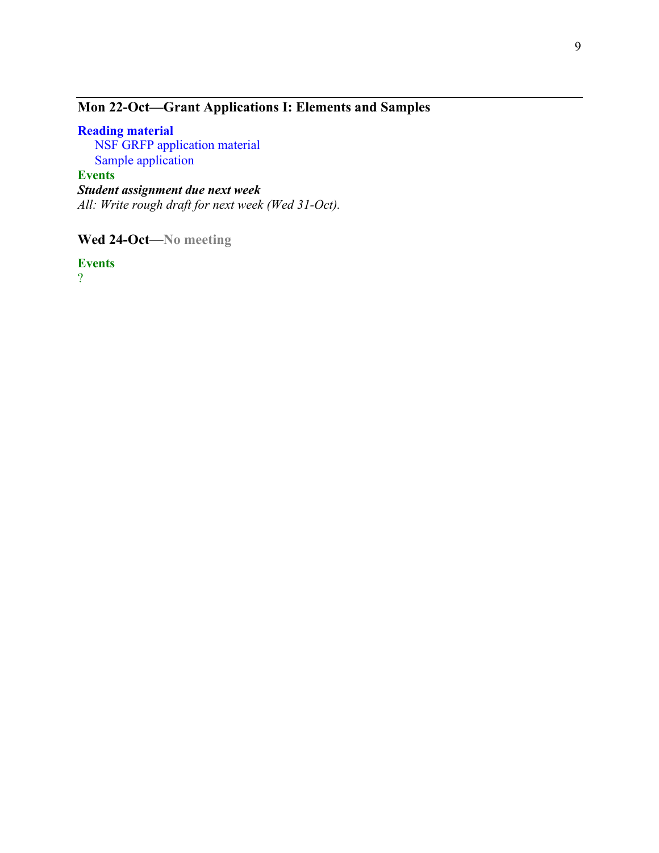### **Mon 22-Oct—Grant Applications I: Elements and Samples**

### **Reading material**

NSF GRFP application material Sample application

### **Events**

*Student assignment due next week All: Write rough draft for next week (Wed 31-Oct).*

**Wed 24-Oct—No meeting**

**Events**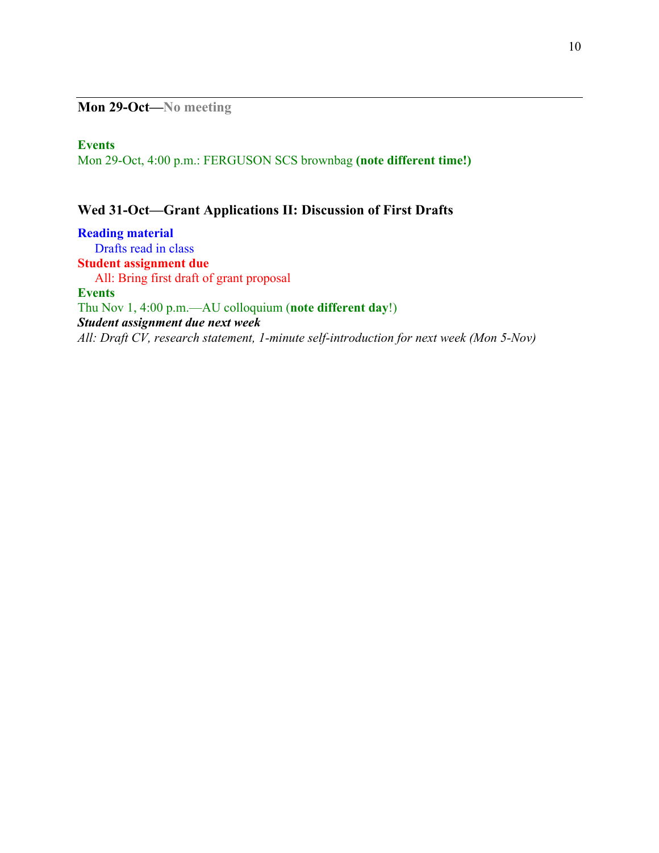**Mon 29-Oct—No meeting**

#### **Events**

Mon 29-Oct, 4:00 p.m.: FERGUSON SCS brownbag **(note different time!)**

### **Wed 31-Oct—Grant Applications II: Discussion of First Drafts**

**Reading material** Drafts read in class **Student assignment due** All: Bring first draft of grant proposal **Events** Thu Nov 1, 4:00 p.m.—AU colloquium (**note different day**!) *Student assignment due next week All: Draft CV, research statement, 1-minute self-introduction for next week (Mon 5-Nov)*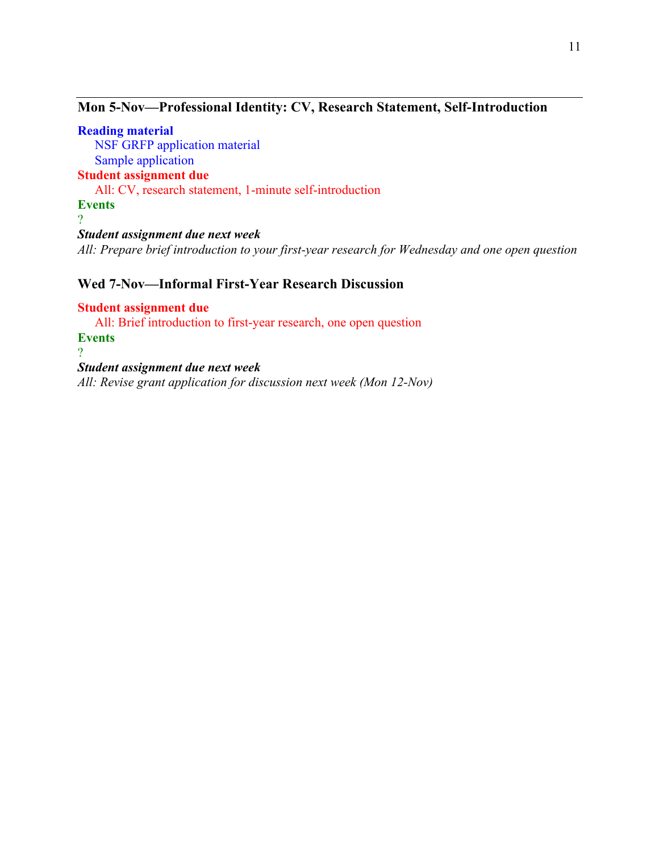### **Mon 5-Nov—Professional Identity: CV, Research Statement, Self-Introduction**

**Reading material** NSF GRFP application material Sample application **Student assignment due** All: CV, research statement, 1-minute self-introduction **Events** ? *Student assignment due next week All: Prepare brief introduction to your first-year research for Wednesday and one open question*

### **Wed 7-Nov—Informal First-Year Research Discussion**

**Student assignment due** All: Brief introduction to first-year research, one open question **Events**  $\mathcal{P}$ *Student assignment due next week*

*All: Revise grant application for discussion next week (Mon 12-Nov)*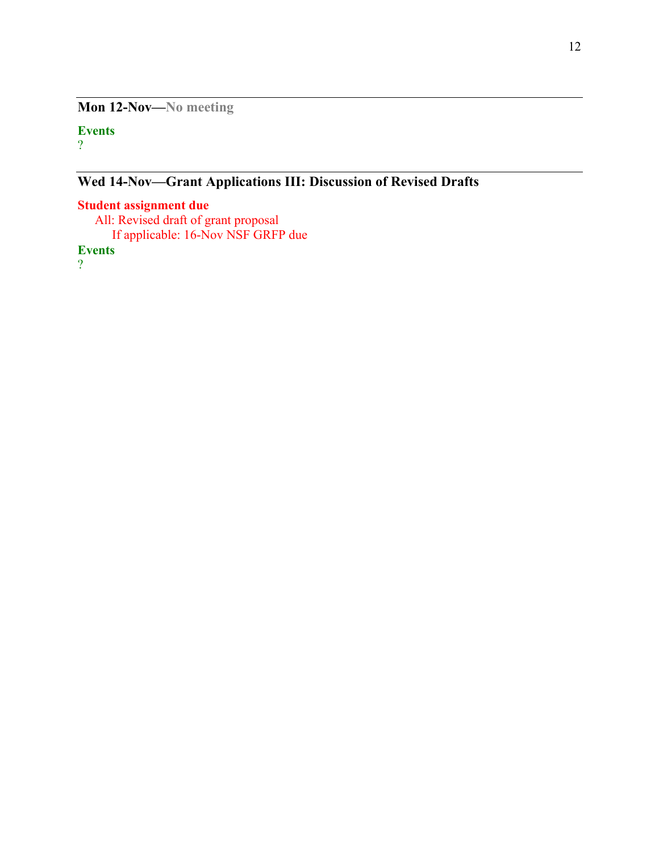**Mon 12-Nov—No meeting**

#### **Events** ?

**Wed 14-Nov—Grant Applications III: Discussion of Revised Drafts**

### **Student assignment due**

All: Revised draft of grant proposal If applicable: 16-Nov NSF GRFP due

**Events**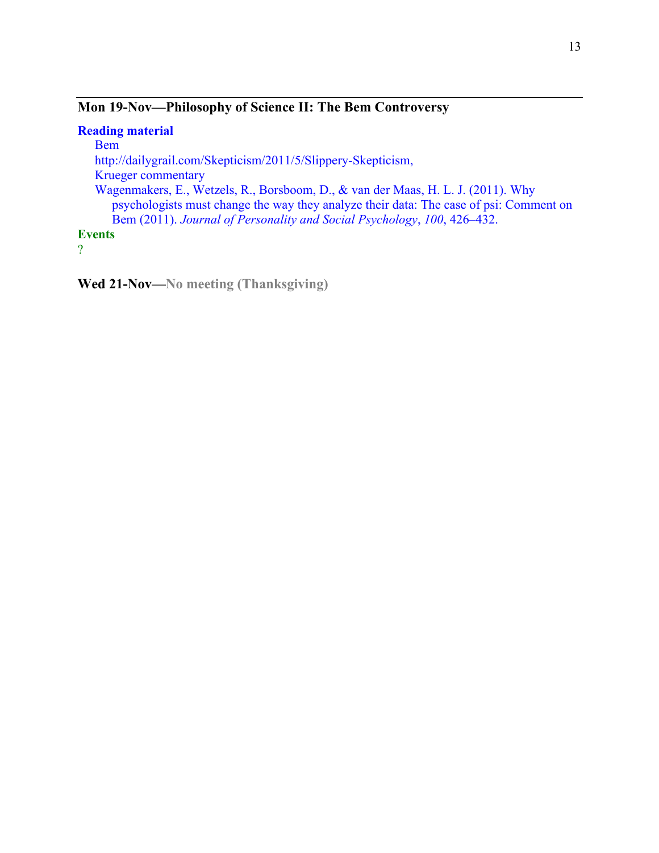### **Mon 19-Nov—Philosophy of Science II: The Bem Controversy**

#### **Reading material** Bem http://dailygrail.com/Skepticism/2011/5/Slippery-Skepticism, Krueger commentary Wagenmakers, E., Wetzels, R., Borsboom, D., & van der Maas, H. L. J. (2011). Why psychologists must change the way they analyze their data: The case of psi: Comment on Bem (2011). *Journal of Personality and Social Psychology*, *100*, 426–432. **Events**

?

**Wed 21-Nov—No meeting (Thanksgiving)**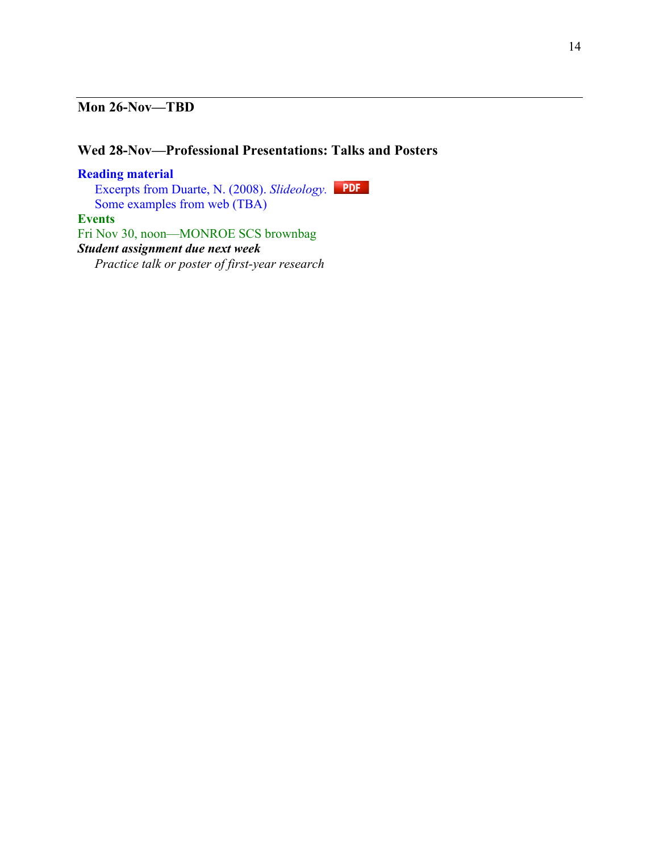### **Mon 26-Nov—TBD**

### **Wed 28-Nov—Professional Presentations: Talks and Posters**

**Reading material** Excerpts from Duarte, N. (2008). *Slideology.*  Some examples from web (TBA) **Events** Fri Nov 30, noon—MONROE SCS brownbag *Student assignment due next week Practice talk or poster of first-year research*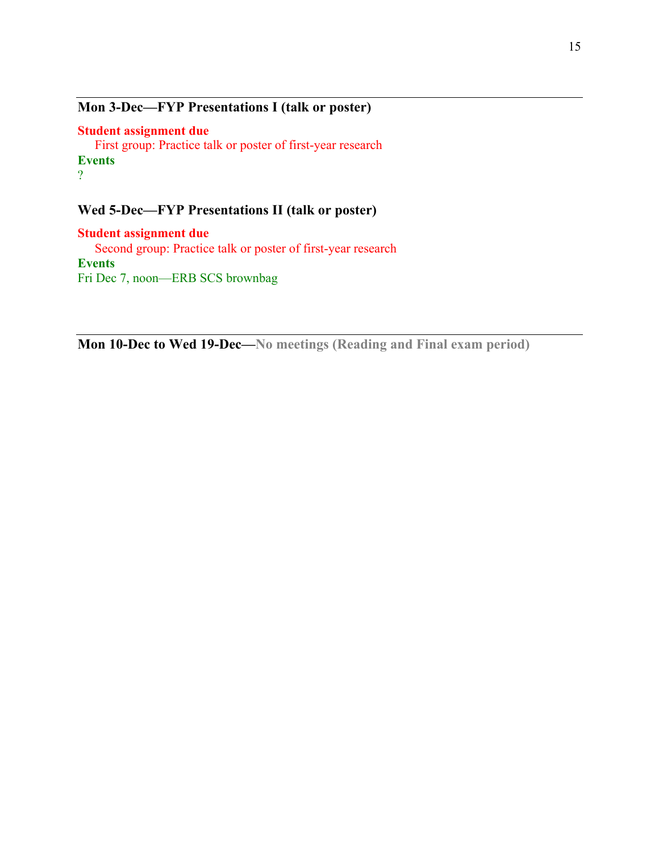### **Mon 3-Dec—FYP Presentations I (talk or poster)**

**Student assignment due** First group: Practice talk or poster of first-year research **Events** ?

### **Wed 5-Dec—FYP Presentations II (talk or poster)**

**Student assignment due** Second group: Practice talk or poster of first-year research **Events** Fri Dec 7, noon—ERB SCS brownbag

**Mon 10-Dec to Wed 19-Dec—No meetings (Reading and Final exam period)**